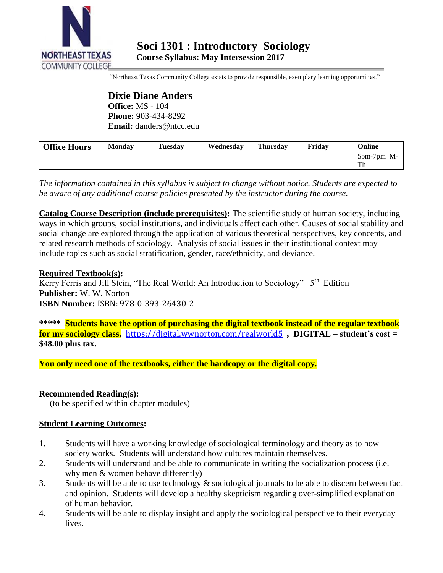

"Northeast Texas Community College exists to provide responsible, exemplary learning opportunities."

**Dixie Diane Anders Office:** MS - 104 **Phone:** 903-434-8292 **Email:** danders@ntcc.edu

| <b>Office Hours</b> | <b>Monday</b> | <b>Tuesday</b> | Wednesdav | Thursday | Fridav | Online                                 |
|---------------------|---------------|----------------|-----------|----------|--------|----------------------------------------|
|                     |               |                |           |          |        | $5 \text{pm}$ -7 $\text{pm}$ M-<br>1 H |

*The information contained in this syllabus is subject to change without notice. Students are expected to be aware of any additional course policies presented by the instructor during the course.*

**Catalog Course Description (include prerequisites):** The scientific study of human society, including ways in which groups, social institutions, and individuals affect each other. Causes of social stability and social change are explored through the application of various theoretical perspectives, key concepts, and related research methods of sociology. Analysis of social issues in their institutional context may include topics such as social stratification, gender, race/ethnicity, and deviance.

**Required Textbook(s):** Kerry Ferris and Jill Stein, "The Real World: An Introduction to Sociology" 5<sup>th</sup> Edition **Publisher:** W. W. Norton **ISBN Number:** ISBN: 978-0-393-26430-2

**\*\*\*\*\* Students have the option of purchasing the digital textbook instead of the regular textbook for my sociology class.** <https://digital.wwnorton.com/realworld5>**, DIGITAL – student's cost = \$48.00 plus tax.**

**You only need one of the textbooks, either the hardcopy or the digital copy.** 

# **Recommended Reading(s):**

(to be specified within chapter modules)

# **Student Learning Outcomes:**

- 1. Students will have a working knowledge of sociological terminology and theory as to how society works. Students will understand how cultures maintain themselves.
- 2. Students will understand and be able to communicate in writing the socialization process (i.e. why men & women behave differently)
- 3. Students will be able to use technology & sociological journals to be able to discern between fact and opinion. Students will develop a healthy skepticism regarding over-simplified explanation of human behavior.
- 4. Students will be able to display insight and apply the sociological perspective to their everyday lives.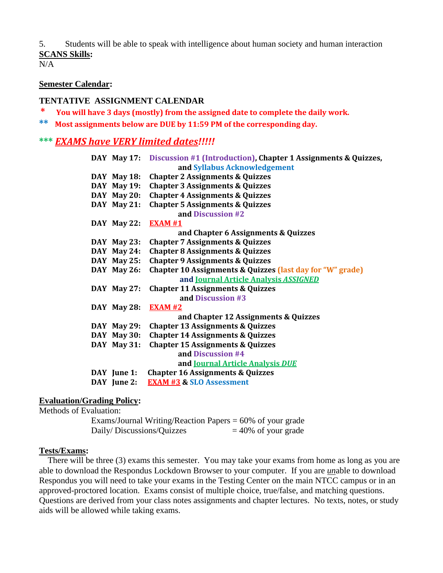5. Students will be able to speak with intelligence about human society and human interaction **SCANS Skills:**

 $N/A$ 

#### **Semester Calendar:**

#### **TENTATIVE ASSIGNMENT CALENDAR**

**\* You will have 3 days (mostly) from the assigned date to complete the daily work.**

**\*\* Most assignments below are DUE by 11:59 PM of the corresponding day.**

### **\*\*\*** *EXAMS have VERY limited dates!!!!!*

|  |             | DAY May 17: Discussion #1 (Introduction), Chapter 1 Assignments & Quizzes, |
|--|-------------|----------------------------------------------------------------------------|
|  |             | and Syllabus Acknowledgement                                               |
|  | DAY May 18: | <b>Chapter 2 Assignments &amp; Quizzes</b>                                 |
|  | DAY May 19: | <b>Chapter 3 Assignments &amp; Quizzes</b>                                 |
|  | DAY May 20: | <b>Chapter 4 Assignments &amp; Quizzes</b>                                 |
|  | DAY May 21: | <b>Chapter 5 Assignments &amp; Quizzes</b>                                 |
|  |             | and Discussion #2                                                          |
|  | DAY May 22: | <b>EXAM #1</b>                                                             |
|  |             | and Chapter 6 Assignments & Quizzes                                        |
|  | DAY May 23: | <b>Chapter 7 Assignments &amp; Quizzes</b>                                 |
|  | DAY May 24: | <b>Chapter 8 Assignments &amp; Quizzes</b>                                 |
|  | DAY May 25: | <b>Chapter 9 Assignments &amp; Quizzes</b>                                 |
|  | DAY May 26: | <b>Chapter 10 Assignments &amp; Quizzes (last day for "W" grade)</b>       |
|  |             | and Journal Article Analysis ASSIGNED                                      |
|  | DAY May 27: | <b>Chapter 11 Assignments &amp; Quizzes</b>                                |
|  |             | and Discussion #3                                                          |
|  | DAY May 28: | <b>EXAM #2</b>                                                             |
|  |             | and Chapter 12 Assignments & Quizzes                                       |
|  | DAY May 29: | <b>Chapter 13 Assignments &amp; Quizzes</b>                                |
|  | DAY May 30: | <b>Chapter 14 Assignments &amp; Quizzes</b>                                |
|  | DAY May 31: | <b>Chapter 15 Assignments &amp; Quizzes</b>                                |
|  |             | and Discussion #4                                                          |
|  |             | and Journal Article Analysis DUE                                           |
|  | DAY June 1: | <b>Chapter 16 Assignments &amp; Quizzes</b>                                |
|  | DAY June 2: | <b>EXAM #3 &amp; SLO Assessment</b>                                        |
|  |             |                                                                            |

#### **Evaluation/Grading Policy:**

Methods of Evaluation:

Exams/Journal Writing/Reaction Papers = 60% of your grade Daily/ Discussions/Quizzes  $= 40\%$  of your grade

#### **Tests/Exams:**

 There will be three (3) exams this semester. You may take your exams from home as long as you are able to download the Respondus Lockdown Browser to your computer. If you are *un*able to download Respondus you will need to take your exams in the Testing Center on the main NTCC campus or in an approved-proctored location. Exams consist of multiple choice, true/false, and matching questions. Questions are derived from your class notes assignments and chapter lectures. No texts, notes, or study aids will be allowed while taking exams.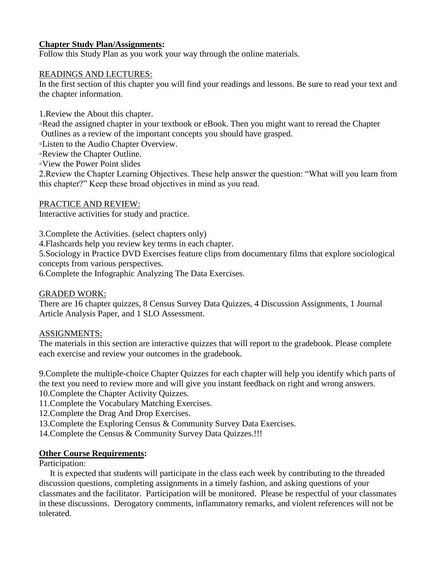# **Chapter Study Plan/Assignments:**

Follow this Study Plan as you work your way through the online materials.

#### READINGS AND LECTURES:

In the first section of this chapter you will find your readings and lessons. Be sure to read your text and the chapter information.

1.Review the About this chapter.

◦Read the assigned chapter in your textbook or eBook. Then you might want to reread the Chapter Outlines as a review of the important concepts you should have grasped.

◦Listen to the Audio Chapter Overview.

◦Review the Chapter Outline.

◦View the Power Point slides

2.Review the Chapter Learning Objectives. These help answer the question: "What will you learn from this chapter?" Keep these broad objectives in mind as you read.

### PRACTICE AND REVIEW:

Interactive activities for study and practice.

3.Complete the Activities. (select chapters only)

4.Flashcards help you review key terms in each chapter.

5.Sociology in Practice DVD Exercises feature clips from documentary films that explore sociological concepts from various perspectives.

6.Complete the Infographic Analyzing The Data Exercises.

# GRADED WORK:

There are 16 chapter quizzes, 8 Census Survey Data Quizzes, 4 Discussion Assignments, 1 Journal Article Analysis Paper, and 1 SLO Assessment.

#### ASSIGNMENTS:

The materials in this section are interactive quizzes that will report to the gradebook. Please complete each exercise and review your outcomes in the gradebook.

9.Complete the multiple-choice Chapter Quizzes for each chapter will help you identify which parts of the text you need to review more and will give you instant feedback on right and wrong answers.

10.Complete the Chapter Activity Quizzes.

11.Complete the Vocabulary Matching Exercises.

12.Complete the Drag And Drop Exercises.

13.Complete the Exploring Census & Community Survey Data Exercises.

14.Complete the Census & Community Survey Data Quizzes.!!!

# **Other Course Requirements:**

#### Participation:

 It is expected that students will participate in the class each week by contributing to the threaded discussion questions, completing assignments in a timely fashion, and asking questions of your classmates and the facilitator. Participation will be monitored. Please be respectful of your classmates in these discussions. Derogatory comments, inflammatory remarks, and violent references will not be tolerated.